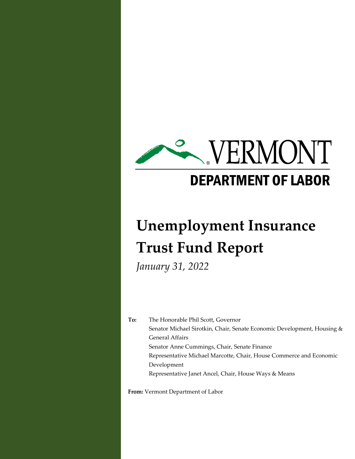

# **Unemployment Insurance Trust Fund Report**

*January 31, 2022*

**To:** The Honorable Phil Scott, Governor Senator Michael Sirotkin, Chair, Senate Economic Development, Housing & General Affairs Senator Anne Cummings, Chair, Senate Finance Representative Michael Marcotte, Chair, House Commerce and Economic Development Representative Janet Ancel, Chair, House Ways & Means

**From:** Vermont Department of Labor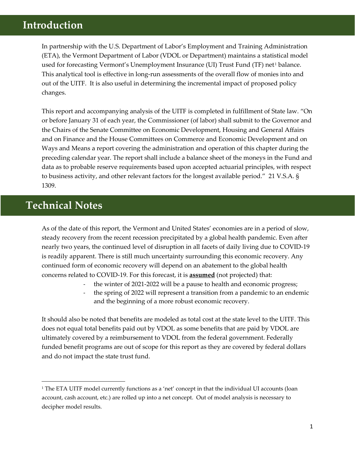## **Introduction**

In partnership with the U.S. Department of Labor's Employment and Training Administration (ETA), the Vermont Department of Labor (VDOL or Department) maintains a statistical model used for forecasting Vermont's Unemployment Insurance (UI) Trust Fund (TF) net<sup>1</sup> balance. This analytical tool is effective in long-run assessments of the overall flow of monies into and out of the UITF. It is also useful in determining the incremental impact of proposed policy changes.

This report and accompanying analysis of the UITF is completed in fulfillment of State law. "On or before January 31 of each year, the Commissioner (of labor) shall submit to the Governor and the Chairs of the Senate Committee on Economic Development, Housing and General Affairs and on Finance and the House Committees on Commerce and Economic Development and on Ways and Means a report covering the administration and operation of this chapter during the preceding calendar year. The report shall include a balance sheet of the moneys in the Fund and data as to probable reserve requirements based upon accepted actuarial principles, with respect to business activity, and other relevant factors for the longest available period." 21 V.S.A. § 1309.

## **Technical Notes**

As of the date of this report, the Vermont and United States' economies are in a period of slow, steady recovery from the recent recession precipitated by a global health pandemic. Even after nearly two years, the continued level of disruption in all facets of daily living due to COVID-19 is readily apparent. There is still much uncertainty surrounding this economic recovery. Any continued form of economic recovery will depend on an abatement to the global health concerns related to COVID-19. For this forecast, it is **assumed** (not projected) that:

- the winter of 2021-2022 will be a pause to health and economic progress;
- the spring of 2022 will represent a transition from a pandemic to an endemic and the beginning of a more robust economic recovery.

It should also be noted that benefits are modeled as total cost at the state level to the UITF. This does not equal total benefits paid out by VDOL as some benefits that are paid by VDOL are ultimately covered by a reimbursement to VDOL from the federal government. Federally funded benefit programs are out of scope for this report as they are covered by federal dollars and do not impact the state trust fund.

<sup>&</sup>lt;sup>1</sup> The ETA UITF model currently functions as a 'net' concept in that the individual UI accounts (loan account, cash account, etc.) are rolled up into a net concept. Out of model analysis is necessary to decipher model results.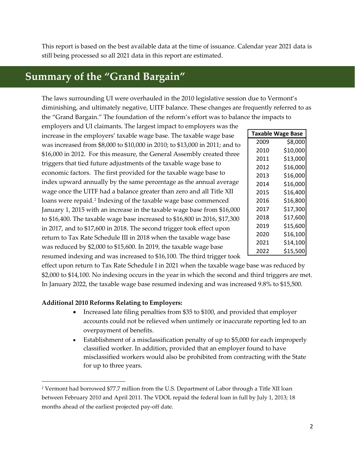This report is based on the best available data at the time of issuance. Calendar year 2021 data is still being processed so all 2021 data in this report are estimated.

# **Summary of the "Grand Bargain"**

The laws surrounding UI were overhauled in the 2010 legislative session due to Vermont's diminishing, and ultimately negative, UITF balance. These changes are frequently referred to as the "Grand Bargain." The foundation of the reform's effort was to balance the impacts to

employers and UI claimants. The largest impact to employers was the increase in the employers' taxable wage base. The taxable wage base was increased from \$8,000 to \$10,000 in 2010; to \$13,000 in 2011; and to \$16,000 in 2012. For this measure, the General Assembly created three triggers that tied future adjustments of the taxable wage base to economic factors. The first provided for the taxable wage base to index upward annually by the same percentage as the annual average wage once the UITF had a balance greater than zero and all Title XII loans were repaid.<sup>2</sup> Indexing of the taxable wage base commenced January 1, 2015 with an increase in the taxable wage base from \$16,000 to \$16,400. The taxable wage base increased to \$16,800 in 2016, \$17,300 in 2017, and to \$17,600 in 2018. The second trigger took effect upon return to Tax Rate Schedule III in 2018 when the taxable wage base was reduced by \$2,000 to \$15,600. In 2019, the taxable wage base resumed indexing and was increased to \$16,100. The third trigger took

| <b>Taxable Wage Base</b> |          |  |  |  |  |
|--------------------------|----------|--|--|--|--|
| 2009                     | \$8,000  |  |  |  |  |
| 2010                     | \$10,000 |  |  |  |  |
| 2011                     | \$13,000 |  |  |  |  |
| 2012                     | \$16,000 |  |  |  |  |
| 2013                     | \$16,000 |  |  |  |  |
| 2014                     | \$16,000 |  |  |  |  |
| 2015                     | \$16,400 |  |  |  |  |
| 2016                     | \$16,800 |  |  |  |  |
| 2017                     | \$17,300 |  |  |  |  |
| 2018                     | \$17,600 |  |  |  |  |
| 2019                     | \$15,600 |  |  |  |  |
| 2020                     | \$16,100 |  |  |  |  |
| 2021                     | \$14,100 |  |  |  |  |
| 2022                     | \$15,500 |  |  |  |  |

effect upon return to Tax Rate Schedule I in 2021 when the taxable wage base was reduced by \$2,000 to \$14,100. No indexing occurs in the year in which the second and third triggers are met. In January 2022, the taxable wage base resumed indexing and was increased 9.8% to \$15,500.

#### **Additional 2010 Reforms Relating to Employers:**

- Increased late filing penalties from \$35 to \$100, and provided that employer accounts could not be relieved when untimely or inaccurate reporting led to an overpayment of benefits.
- Establishment of a misclassification penalty of up to \$5,000 for each improperly classified worker. In addition, provided that an employer found to have misclassified workers would also be prohibited from contracting with the State for up to three years.

<sup>2</sup> Vermont had borrowed \$77.7 million from the U.S. Department of Labor through a Title XII loan between February 2010 and April 2011. The VDOL repaid the federal loan in full by July 1, 2013; 18 months ahead of the earliest projected pay-off date.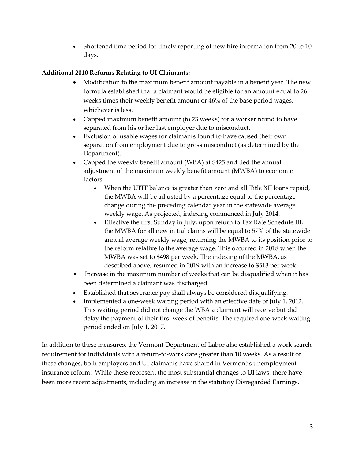• Shortened time period for timely reporting of new hire information from 20 to 10 days.

#### **Additional 2010 Reforms Relating to UI Claimants:**

- Modification to the maximum benefit amount payable in a benefit year. The new formula established that a claimant would be eligible for an amount equal to 26 weeks times their weekly benefit amount or 46% of the base period wages, whichever is less.
- Capped maximum benefit amount (to 23 weeks) for a worker found to have separated from his or her last employer due to misconduct.
- Exclusion of usable wages for claimants found to have caused their own separation from employment due to gross misconduct (as determined by the Department).
- Capped the weekly benefit amount (WBA) at \$425 and tied the annual adjustment of the maximum weekly benefit amount (MWBA) to economic factors.
	- When the UITF balance is greater than zero and all Title XII loans repaid, the MWBA will be adjusted by a percentage equal to the percentage change during the preceding calendar year in the statewide average weekly wage. As projected, indexing commenced in July 2014.
	- Effective the first Sunday in July, upon return to Tax Rate Schedule III, the MWBA for all new initial claims will be equal to 57% of the statewide annual average weekly wage, returning the MWBA to its position prior to the reform relative to the average wage. This occurred in 2018 when the MWBA was set to \$498 per week. The indexing of the MWBA, as described above, resumed in 2019 with an increase to \$513 per week.
- Increase in the maximum number of weeks that can be disqualified when it has been determined a claimant was discharged.
- Established that severance pay shall always be considered disqualifying.
- Implemented a one-week waiting period with an effective date of July 1, 2012. This waiting period did not change the WBA a claimant will receive but did delay the payment of their first week of benefits. The required one-week waiting period ended on July 1, 2017.

In addition to these measures, the Vermont Department of Labor also established a work search requirement for individuals with a return-to-work date greater than 10 weeks. As a result of these changes, both employers and UI claimants have shared in Vermont's unemployment insurance reform. While these represent the most substantial changes to UI laws, there have been more recent adjustments, including an increase in the statutory Disregarded Earnings.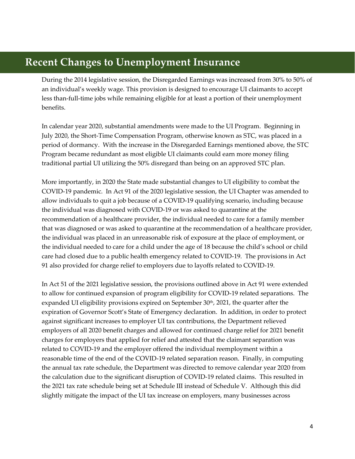## **Recent Changes to Unemployment Insurance**

During the 2014 legislative session, the Disregarded Earnings was increased from 30% to 50% of an individual's weekly wage. This provision is designed to encourage UI claimants to accept less than-full-time jobs while remaining eligible for at least a portion of their unemployment benefits.

In calendar year 2020, substantial amendments were made to the UI Program. Beginning in July 2020, the Short-Time Compensation Program, otherwise known as STC, was placed in a period of dormancy. With the increase in the Disregarded Earnings mentioned above, the STC Program became redundant as most eligible UI claimants could earn more money filing traditional partial UI utilizing the 50% disregard than being on an approved STC plan.

More importantly, in 2020 the State made substantial changes to UI eligibility to combat the COVID-19 pandemic. In Act 91 of the 2020 legislative session, the UI Chapter was amended to allow individuals to quit a job because of a COVID-19 qualifying scenario, including because the individual was diagnosed with COVID-19 or was asked to quarantine at the recommendation of a healthcare provider, the individual needed to care for a family member that was diagnosed or was asked to quarantine at the recommendation of a healthcare provider, the individual was placed in an unreasonable risk of exposure at the place of employment, or the individual needed to care for a child under the age of 18 because the child's school or child care had closed due to a public health emergency related to COVID-19. The provisions in Act 91 also provided for charge relief to employers due to layoffs related to COVID-19.

In Act 51 of the 2021 legislative session, the provisions outlined above in Act 91 were extended to allow for continued expansion of program eligibility for COVID-19 related separations. The expanded UI eligibility provisions expired on September 30<sup>th</sup>, 2021, the quarter after the expiration of Governor Scott's State of Emergency declaration. In addition, in order to protect against significant increases to employer UI tax contributions, the Department relieved employers of all 2020 benefit charges and allowed for continued charge relief for 2021 benefit charges for employers that applied for relief and attested that the claimant separation was related to COVID-19 and the employer offered the individual reemployment within a reasonable time of the end of the COVID-19 related separation reason. Finally, in computing the annual tax rate schedule, the Department was directed to remove calendar year 2020 from the calculation due to the significant disruption of COVID-19 related claims. This resulted in the 2021 tax rate schedule being set at Schedule III instead of Schedule V. Although this did slightly mitigate the impact of the UI tax increase on employers, many businesses across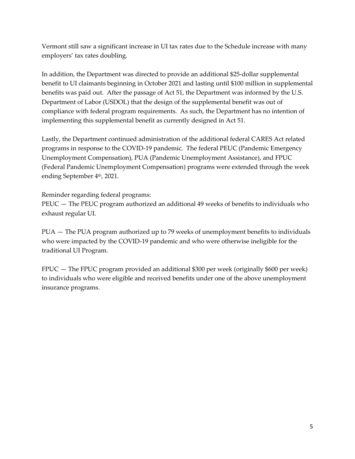Vermont still saw a significant increase in UI tax rates due to the Schedule increase with many employers' tax rates doubling.

In addition, the Department was directed to provide an additional \$25-dollar supplemental benefit to UI claimants beginning in October 2021 and lasting until \$100 million in supplemental benefits was paid out. After the passage of Act 51, the Department was informed by the U.S. Department of Labor (USDOL) that the design of the supplemental benefit was out of compliance with federal program requirements. As such, the Department has no intention of implementing this supplemental benefit as currently designed in Act 51.

Lastly, the Department continued administration of the additional federal CARES Act related programs in response to the COVID-19 pandemic. The federal PEUC (Pandemic Emergency Unemployment Compensation), PUA (Pandemic Unemployment Assistance), and FPUC (Federal Pandemic Unemployment Compensation) programs were extended through the week ending September 4<sup>th</sup>, 2021.

Reminder regarding federal programs:

PEUC — The PEUC program authorized an additional 49 weeks of benefits to individuals who exhaust regular UI.

PUA — The PUA program authorized up to 79 weeks of unemployment benefits to individuals who were impacted by the COVID-19 pandemic and who were otherwise ineligible for the traditional UI Program.

FPUC — The FPUC program provided an additional \$300 per week (originally \$600 per week) to individuals who were eligible and received benefits under one of the above unemployment insurance programs.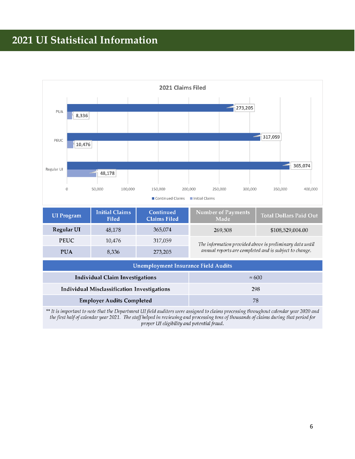# **2021 UI Statistical Information**



| <b>UI</b> Program | <b>Initial Claims</b><br><b>Filed</b> | Continued<br><b>Claims Filed</b> | <b>Number of Payments</b><br>Made                        | <b>Total Dollars Paid Out</b> |  |
|-------------------|---------------------------------------|----------------------------------|----------------------------------------------------------|-------------------------------|--|
| <b>Regular UI</b> | 48.178                                | 365.074                          | 269.508                                                  | \$108,529,004.00              |  |
| <b>PEUC</b>       | 10.476                                | 317.059                          | The information provided above is preliminary data until |                               |  |
| <b>PUA</b>        | 8,336                                 | 273,205                          | annual reports are completed and is subject to change.   |                               |  |

| <b>Unemployment Insurance Field Audits</b>  |               |  |  |  |
|---------------------------------------------|---------------|--|--|--|
| <b>Individual Claim Investigations</b>      | $\approx 600$ |  |  |  |
| Individual Misclassification Investigations | 298           |  |  |  |
| <b>Employer Audits Completed</b>            | 78            |  |  |  |

\*\* It is important to note that the Department UI field auditors were assigned to claims processing throughout calendar year 2020 and the first half of calendar year 2021. The staff helped in reviewing and processing tens of thousands of claims during that period for proper UI eligibility and potential fraud.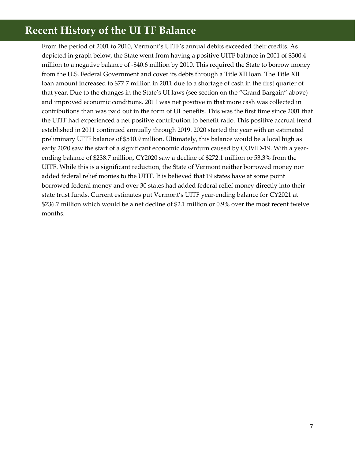# **Recent History of the UI TF Balance**

From the period of 2001 to 2010, Vermont's UITF's annual debits exceeded their credits. As depicted in graph below, the State went from having a positive UITF balance in 2001 of \$300.4 million to a negative balance of -\$40.6 million by 2010. This required the State to borrow money from the U.S. Federal Government and cover its debts through a Title XII loan. The Title XII loan amount increased to \$77.7 million in 2011 due to a shortage of cash in the first quarter of that year. Due to the changes in the State's UI laws (see section on the "Grand Bargain" above) and improved economic conditions, 2011 was net positive in that more cash was collected in contributions than was paid out in the form of UI benefits. This was the first time since 2001 that the UITF had experienced a net positive contribution to benefit ratio. This positive accrual trend established in 2011 continued annually through 2019. 2020 started the year with an estimated preliminary UITF balance of \$510.9 million. Ultimately, this balance would be a local high as early 2020 saw the start of a significant economic downturn caused by COVID-19. With a yearending balance of \$238.7 million, CY2020 saw a decline of \$272.1 million or 53.3% from the UITF. While this is a significant reduction, the State of Vermont neither borrowed money nor added federal relief monies to the UITF. It is believed that 19 states have at some point borrowed federal money and over 30 states had added federal relief money directly into their state trust funds. Current estimates put Vermont's UITF year-ending balance for CY2021 at \$236.7 million which would be a net decline of \$2.1 million or 0.9% over the most recent twelve months.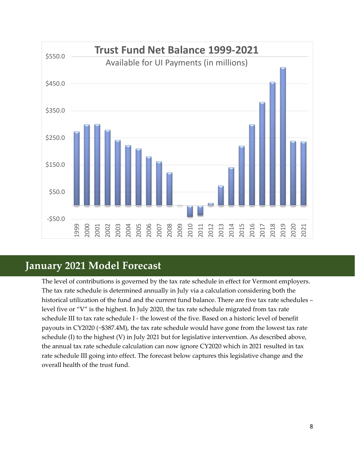

### **January 2021 Model Forecast**

The level of contributions is governed by the tax rate schedule in effect for Vermont employers. The tax rate schedule is determined annually in July via a calculation considering both the historical utilization of the fund and the current fund balance. There are five tax rate schedules – level five or "V" is the highest. In July 2020, the tax rate schedule migrated from tax rate schedule III to tax rate schedule I - the lowest of the five. Based on a historic level of benefit payouts in CY2020 (~\$387.4M), the tax rate schedule would have gone from the lowest tax rate schedule (I) to the highest (V) in July 2021 but for legislative intervention. As described above, the annual tax rate schedule calculation can now ignore CY2020 which in 2021 resulted in tax rate schedule III going into effect. The forecast below captures this legislative change and the overall health of the trust fund.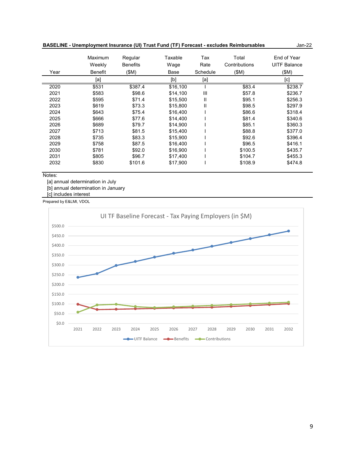|      | Maximum<br>Weekly | Regular<br><b>Benefits</b> | Taxable<br>Wage | Tax<br>Rate | Total<br>Contributions | End of Year<br><b>UITF Balance</b> |
|------|-------------------|----------------------------|-----------------|-------------|------------------------|------------------------------------|
| Year | <b>Benefit</b>    | (SM)                       | Base            | Schedule    | (SM)                   | \$M)                               |
|      | [a]               |                            | [b]             | [a]         |                        | [c]                                |
| 2020 | \$531             | \$387.4                    | \$16,100        |             | \$83.4                 | \$238.7                            |
| 2021 | \$583             | \$98.6                     | \$14,100        | Ш           | \$57.8                 | \$236.7                            |
| 2022 | \$595             | \$71.4                     | \$15,500        | Ш           | \$95.1                 | \$256.3                            |
| 2023 | \$619             | \$73.3                     | \$15,800        | Ш           | \$98.5                 | \$297.9                            |
| 2024 | \$643             | \$75.4                     | \$16,400        |             | \$86.6                 | \$318.4                            |
| 2025 | \$666             | \$77.6                     | \$14,400        |             | \$81.4                 | \$340.6                            |
| 2026 | \$689             | \$79.7                     | \$14,900        |             | \$85.1                 | \$360.3                            |
| 2027 | \$713             | \$81.5                     | \$15,400        |             | \$88.8                 | \$377.0                            |
| 2028 | \$735             | \$83.3                     | \$15,900        |             | \$92.6                 | \$396.4                            |
| 2029 | \$758             | \$87.5                     | \$16,400        |             | \$96.5                 | \$416.1                            |
| 2030 | \$781             | \$92.0                     | \$16,900        |             | \$100.5                | \$435.7                            |
| 2031 | \$805             | \$96.7                     | \$17,400        |             | \$104.7                | \$455.3                            |
| 2032 | \$830             | \$101.6                    | \$17,900        |             | \$108.9                | \$474.8                            |

#### **BASELINE - Unemployment Insurance (UI) Trust Fund (TF) Forecast - excludes Reimbursables**

Notes:

[a] annual determination in July

[b] annual determination in January

[c] includes interest

Prepared by E&LMI, VDOL



Jan-22